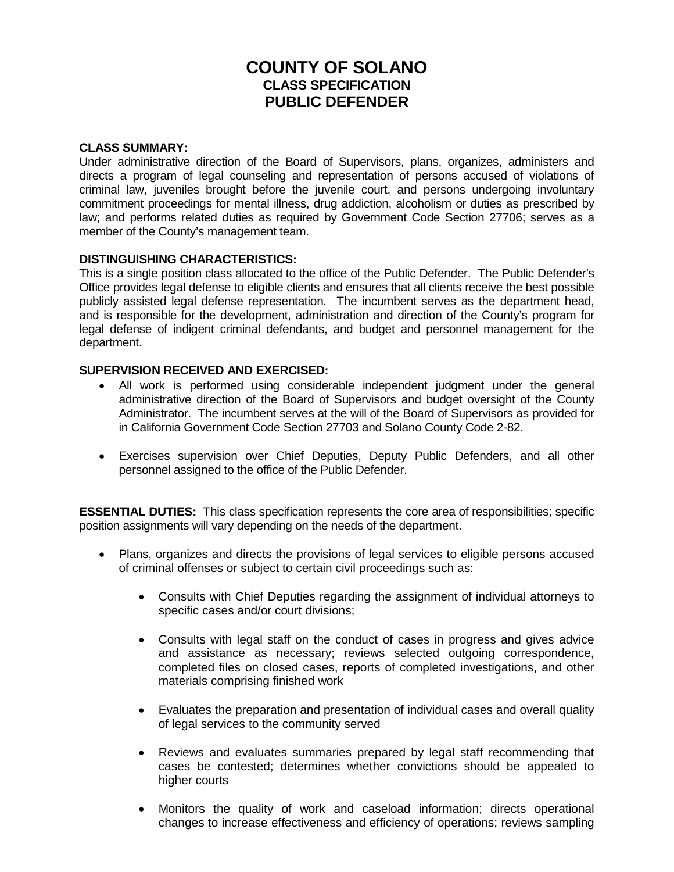# **COUNTY OF SOLANO CLASS SPECIFICATION PUBLIC DEFENDER**

## **CLASS SUMMARY:**

Under administrative direction of the Board of Supervisors, plans, organizes, administers and directs a program of legal counseling and representation of persons accused of violations of criminal law, juveniles brought before the juvenile court, and persons undergoing involuntary commitment proceedings for mental illness, drug addiction, alcoholism or duties as prescribed by law; and performs related duties as required by Government Code Section 27706; serves as a member of the County's management team.

## **DISTINGUISHING CHARACTERISTICS:**

This is a single position class allocated to the office of the Public Defender. The Public Defender's Office provides legal defense to eligible clients and ensures that all clients receive the best possible publicly assisted legal defense representation. The incumbent serves as the department head, and is responsible for the development, administration and direction of the County's program for legal defense of indigent criminal defendants, and budget and personnel management for the department.

## **SUPERVISION RECEIVED AND EXERCISED:**

- All work is performed using considerable independent judgment under the general administrative direction of the Board of Supervisors and budget oversight of the County Administrator. The incumbent serves at the will of the Board of Supervisors as provided for in California Government Code Section 27703 and Solano County Code 2-82.
- Exercises supervision over Chief Deputies, Deputy Public Defenders, and all other personnel assigned to the office of the Public Defender.

**ESSENTIAL DUTIES:** This class specification represents the core area of responsibilities; specific position assignments will vary depending on the needs of the department.

- Plans, organizes and directs the provisions of legal services to eligible persons accused of criminal offenses or subject to certain civil proceedings such as:
	- Consults with Chief Deputies regarding the assignment of individual attorneys to specific cases and/or court divisions;
	- Consults with legal staff on the conduct of cases in progress and gives advice and assistance as necessary; reviews selected outgoing correspondence, completed files on closed cases, reports of completed investigations, and other materials comprising finished work
	- Evaluates the preparation and presentation of individual cases and overall quality of legal services to the community served
	- Reviews and evaluates summaries prepared by legal staff recommending that cases be contested; determines whether convictions should be appealed to higher courts
	- Monitors the quality of work and caseload information; directs operational changes to increase effectiveness and efficiency of operations; reviews sampling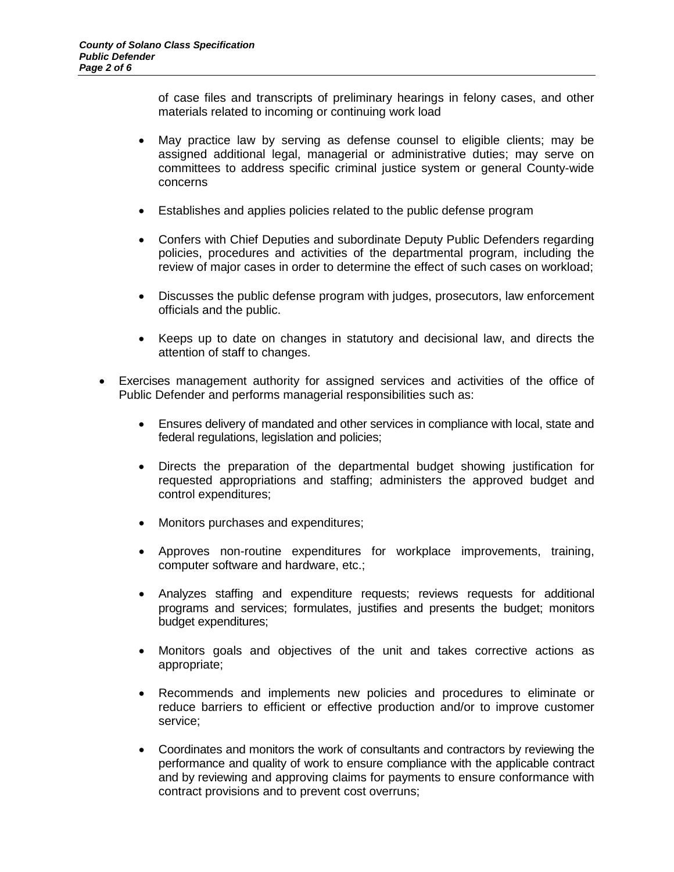of case files and transcripts of preliminary hearings in felony cases, and other materials related to incoming or continuing work load

- May practice law by serving as defense counsel to eligible clients; may be assigned additional legal, managerial or administrative duties; may serve on committees to address specific criminal justice system or general County-wide concerns
- Establishes and applies policies related to the public defense program
- Confers with Chief Deputies and subordinate Deputy Public Defenders regarding policies, procedures and activities of the departmental program, including the review of major cases in order to determine the effect of such cases on workload;
- Discusses the public defense program with judges, prosecutors, law enforcement officials and the public.
- Keeps up to date on changes in statutory and decisional law, and directs the attention of staff to changes.
- Exercises management authority for assigned services and activities of the office of Public Defender and performs managerial responsibilities such as:
	- Ensures delivery of mandated and other services in compliance with local, state and federal regulations, legislation and policies;
	- Directs the preparation of the departmental budget showing justification for requested appropriations and staffing; administers the approved budget and control expenditures;
	- Monitors purchases and expenditures;
	- Approves non-routine expenditures for workplace improvements, training, computer software and hardware, etc.;
	- Analyzes staffing and expenditure requests; reviews requests for additional programs and services; formulates, justifies and presents the budget; monitors budget expenditures;
	- Monitors goals and objectives of the unit and takes corrective actions as appropriate;
	- Recommends and implements new policies and procedures to eliminate or reduce barriers to efficient or effective production and/or to improve customer service;
	- Coordinates and monitors the work of consultants and contractors by reviewing the performance and quality of work to ensure compliance with the applicable contract and by reviewing and approving claims for payments to ensure conformance with contract provisions and to prevent cost overruns;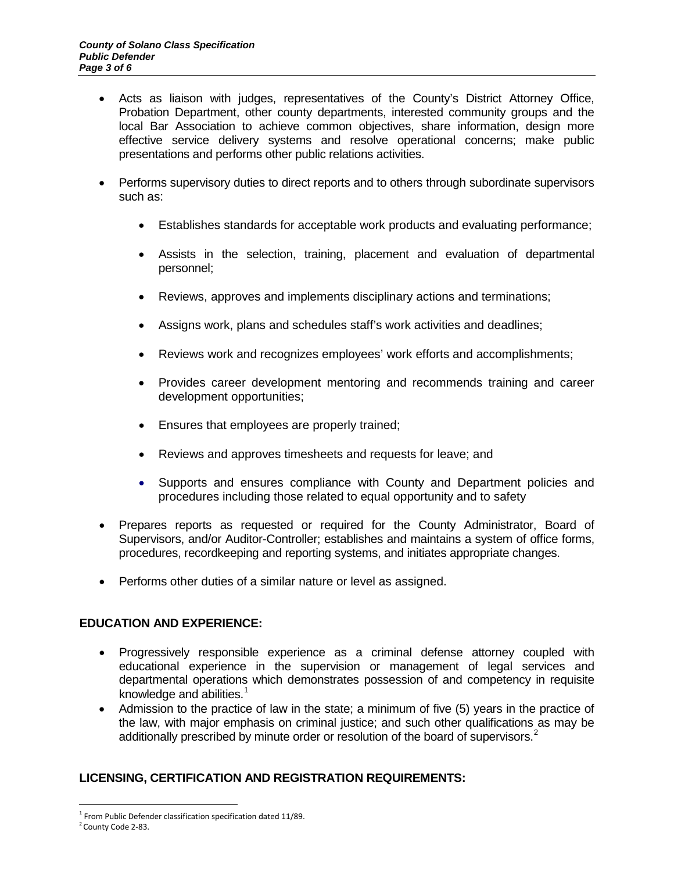- Acts as liaison with judges, representatives of the County's District Attorney Office, Probation Department, other county departments, interested community groups and the local Bar Association to achieve common objectives, share information, design more effective service delivery systems and resolve operational concerns; make public presentations and performs other public relations activities.
- Performs supervisory duties to direct reports and to others through subordinate supervisors such as:
	- Establishes standards for acceptable work products and evaluating performance;
	- Assists in the selection, training, placement and evaluation of departmental personnel;
	- Reviews, approves and implements disciplinary actions and terminations;
	- Assigns work, plans and schedules staff's work activities and deadlines;
	- Reviews work and recognizes employees' work efforts and accomplishments;
	- Provides career development mentoring and recommends training and career development opportunities;
	- Ensures that employees are properly trained;
	- Reviews and approves timesheets and requests for leave; and
	- Supports and ensures compliance with County and Department policies and procedures including those related to equal opportunity and to safety
- Prepares reports as requested or required for the County Administrator, Board of Supervisors, and/or Auditor-Controller; establishes and maintains a system of office forms, procedures, recordkeeping and reporting systems, and initiates appropriate changes.
- Performs other duties of a similar nature or level as assigned.

# **EDUCATION AND EXPERIENCE:**

- Progressively responsible experience as a criminal defense attorney coupled with educational experience in the supervision or management of legal services and departmental operations which demonstrates possession of and competency in requisite knowledge and abilities.<sup>[1](#page-2-0)</sup>
- Admission to the practice of law in the state; a minimum of five (5) years in the practice of the law, with major emphasis on criminal justice; and such other qualifications as may be additionally prescribed by minute order or resolution of the board of supervisors. $2$

# **LICENSING, CERTIFICATION AND REGISTRATION REQUIREMENTS:**

<span id="page-2-0"></span> $1$  From Public Defender classification specification dated 11/89.

<span id="page-2-1"></span><sup>&</sup>lt;sup>2</sup> County Code 2-83.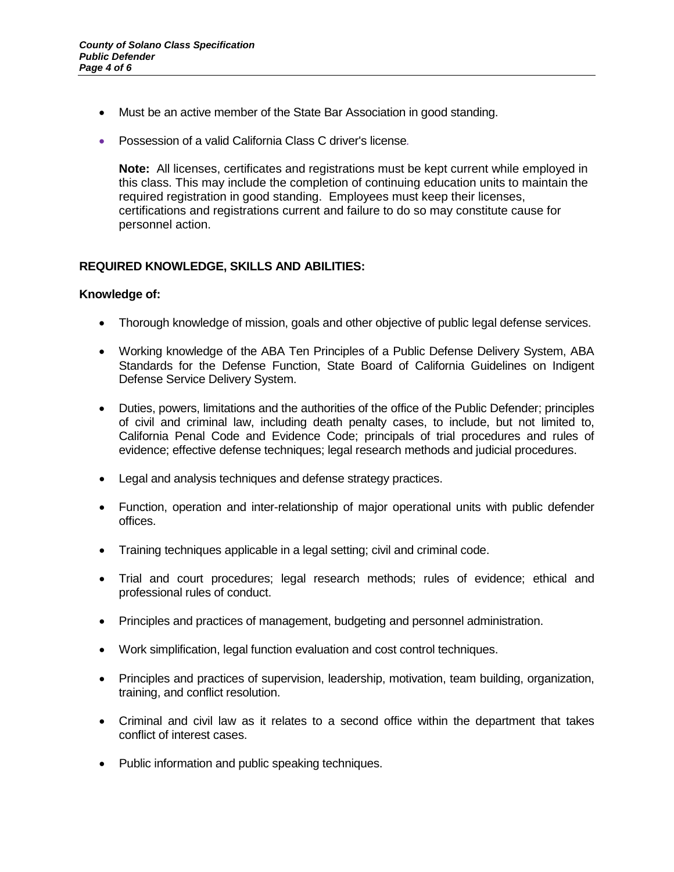- Must be an active member of the State Bar Association in good standing.
- Possession of a valid California Class C driver's license*.*

**Note:** All licenses, certificates and registrations must be kept current while employed in this class. This may include the completion of continuing education units to maintain the required registration in good standing. Employees must keep their licenses, certifications and registrations current and failure to do so may constitute cause for personnel action.

# **REQUIRED KNOWLEDGE, SKILLS AND ABILITIES:**

#### **Knowledge of:**

- Thorough knowledge of mission, goals and other objective of public legal defense services.
- Working knowledge of the ABA Ten Principles of a Public Defense Delivery System, ABA Standards for the Defense Function, State Board of California Guidelines on Indigent Defense Service Delivery System.
- Duties, powers, limitations and the authorities of the office of the Public Defender; principles of civil and criminal law, including death penalty cases, to include, but not limited to, California Penal Code and Evidence Code; principals of trial procedures and rules of evidence; effective defense techniques; legal research methods and judicial procedures.
- Legal and analysis techniques and defense strategy practices.
- Function, operation and inter-relationship of major operational units with public defender offices.
- Training techniques applicable in a legal setting; civil and criminal code.
- Trial and court procedures; legal research methods; rules of evidence; ethical and professional rules of conduct.
- Principles and practices of management, budgeting and personnel administration.
- Work simplification, legal function evaluation and cost control techniques.
- Principles and practices of supervision, leadership, motivation, team building, organization, training, and conflict resolution.
- Criminal and civil law as it relates to a second office within the department that takes conflict of interest cases.
- Public information and public speaking techniques.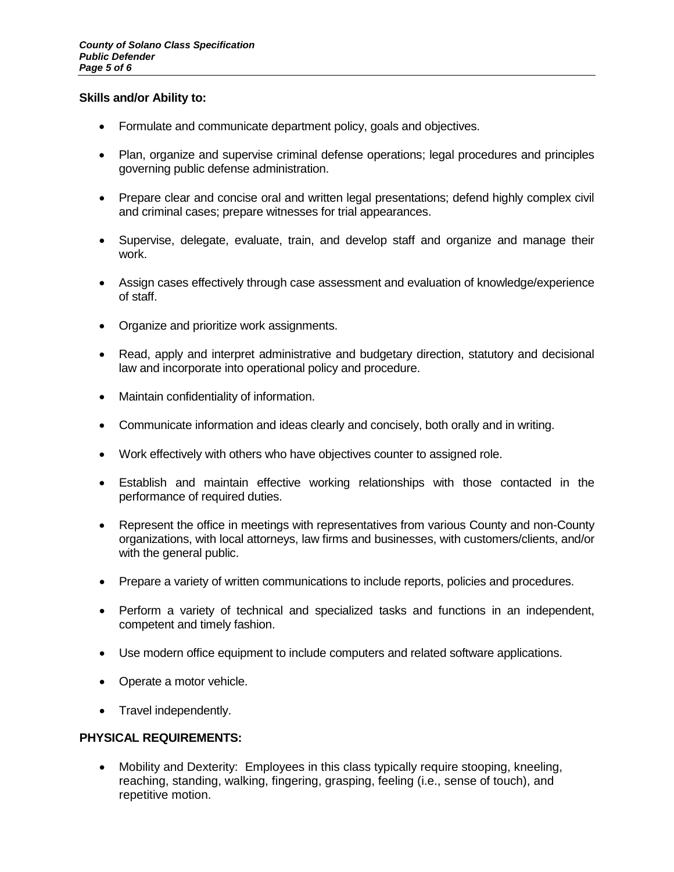#### **Skills and/or Ability to:**

- Formulate and communicate department policy, goals and objectives.
- Plan, organize and supervise criminal defense operations; legal procedures and principles governing public defense administration.
- Prepare clear and concise oral and written legal presentations; defend highly complex civil and criminal cases; prepare witnesses for trial appearances.
- Supervise, delegate, evaluate, train, and develop staff and organize and manage their work.
- Assign cases effectively through case assessment and evaluation of knowledge/experience of staff.
- Organize and prioritize work assignments.
- Read, apply and interpret administrative and budgetary direction, statutory and decisional law and incorporate into operational policy and procedure.
- Maintain confidentiality of information.
- Communicate information and ideas clearly and concisely, both orally and in writing.
- Work effectively with others who have objectives counter to assigned role.
- Establish and maintain effective working relationships with those contacted in the performance of required duties.
- Represent the office in meetings with representatives from various County and non-County organizations, with local attorneys, law firms and businesses, with customers/clients, and/or with the general public.
- Prepare a variety of written communications to include reports, policies and procedures.
- Perform a variety of technical and specialized tasks and functions in an independent, competent and timely fashion.
- Use modern office equipment to include computers and related software applications.
- Operate a motor vehicle.
- Travel independently.

# **PHYSICAL REQUIREMENTS:**

• Mobility and Dexterity: Employees in this class typically require stooping, kneeling, reaching, standing, walking, fingering, grasping, feeling (i.e., sense of touch), and repetitive motion.